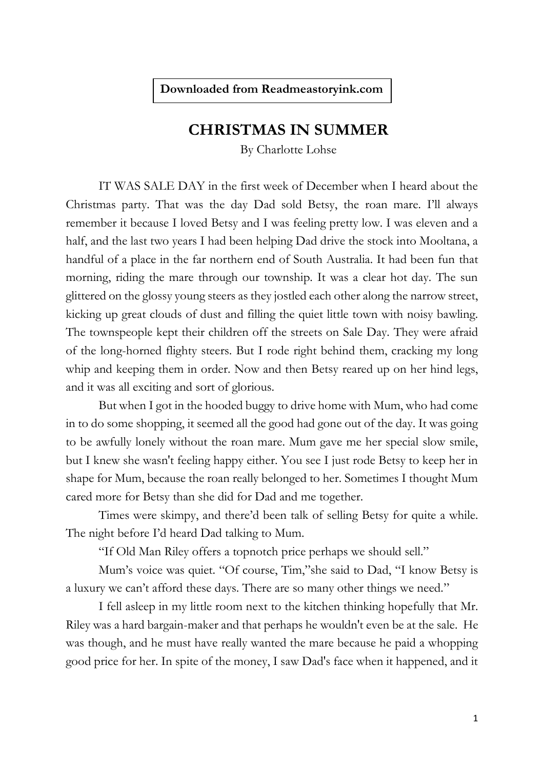## **Downloaded from Readmeastoryink.com**

## **CHRISTMAS IN SUMMER**

By Charlotte Lohse

IT WAS SALE DAY in the first week of December when I heard about the Christmas party. That was the day Dad sold Betsy, the roan mare. I'll always remember it because I loved Betsy and I was feeling pretty low. I was eleven and a half, and the last two years I had been helping Dad drive the stock into Mooltana, a handful of a place in the far northern end of South Australia. It had been fun that morning, riding the mare through our township. It was a clear hot day. The sun glittered on the glossy young steers as they jostled each other along the narrow street, kicking up great clouds of dust and filling the quiet little town with noisy bawling. The townspeople kept their children off the streets on Sale Day. They were afraid of the long-horned flighty steers. But I rode right behind them, cracking my long whip and keeping them in order. Now and then Betsy reared up on her hind legs, and it was all exciting and sort of glorious.

But when I got in the hooded buggy to drive home with Mum, who had come in to do some shopping, it seemed all the good had gone out of the day. It was going to be awfully lonely without the roan mare. Mum gave me her special slow smile, but I knew she wasn't feeling happy either. You see I just rode Betsy to keep her in shape for Mum, because the roan really belonged to her. Sometimes I thought Mum cared more for Betsy than she did for Dad and me together.

Times were skimpy, and there'd been talk of selling Betsy for quite a while. The night before I'd heard Dad talking to Mum.

"If Old Man Riley offers a topnotch price perhaps we should sell."

Mum's voice was quiet. "Of course, Tim,"she said to Dad, "I know Betsy is a luxury we can't afford these days. There are so many other things we need."

I fell asleep in my little room next to the kitchen thinking hopefully that Mr. Riley was a hard bargain-maker and that perhaps he wouldn't even be at the sale. He was though, and he must have really wanted the mare because he paid a whopping good price for her. In spite of the money, I saw Dad's face when it happened, and it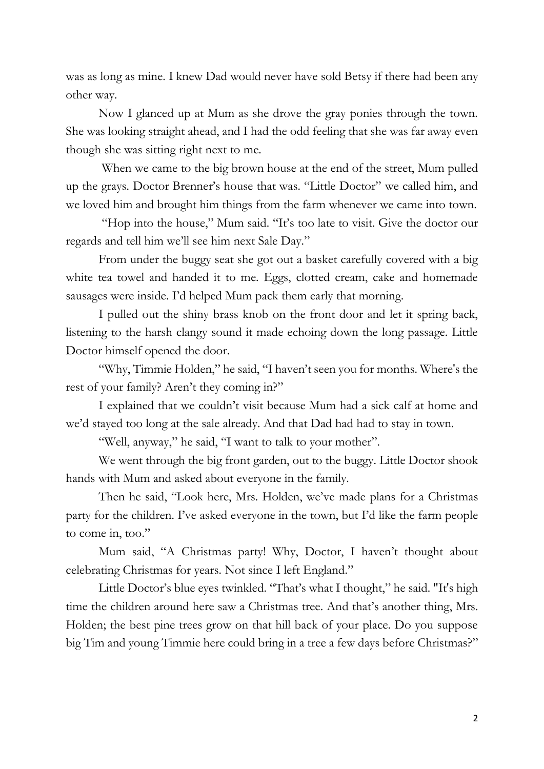was as long as mine. I knew Dad would never have sold Betsy if there had been any other way.

Now I glanced up at Mum as she drove the gray ponies through the town. She was looking straight ahead, and I had the odd feeling that she was far away even though she was sitting right next to me.

When we came to the big brown house at the end of the street, Mum pulled up the grays. Doctor Brenner's house that was. "Little Doctor" we called him, and we loved him and brought him things from the farm whenever we came into town.

"Hop into the house," Mum said. "It's too late to visit. Give the doctor our regards and tell him we'll see him next Sale Day."

From under the buggy seat she got out a basket carefully covered with a big white tea towel and handed it to me. Eggs, clotted cream, cake and homemade sausages were inside. I'd helped Mum pack them early that morning.

I pulled out the shiny brass knob on the front door and let it spring back, listening to the harsh clangy sound it made echoing down the long passage. Little Doctor himself opened the door.

"Why, Timmie Holden," he said, "I haven't seen you for months. Where's the rest of your family? Aren't they coming in?"

I explained that we couldn't visit because Mum had a sick calf at home and we'd stayed too long at the sale already. And that Dad had had to stay in town.

"Well, anyway," he said, "I want to talk to your mother".

We went through the big front garden, out to the buggy. Little Doctor shook hands with Mum and asked about everyone in the family.

Then he said, "Look here, Mrs. Holden, we've made plans for a Christmas party for the children. I've asked everyone in the town, but I'd like the farm people to come in, too."

Mum said, "A Christmas party! Why, Doctor, I haven't thought about celebrating Christmas for years. Not since I left England."

Little Doctor's blue eyes twinkled. "That's what I thought," he said. "It's high time the children around here saw a Christmas tree. And that's another thing, Mrs. Holden; the best pine trees grow on that hill back of your place. Do you suppose big Tim and young Timmie here could bring in a tree a few days before Christmas?"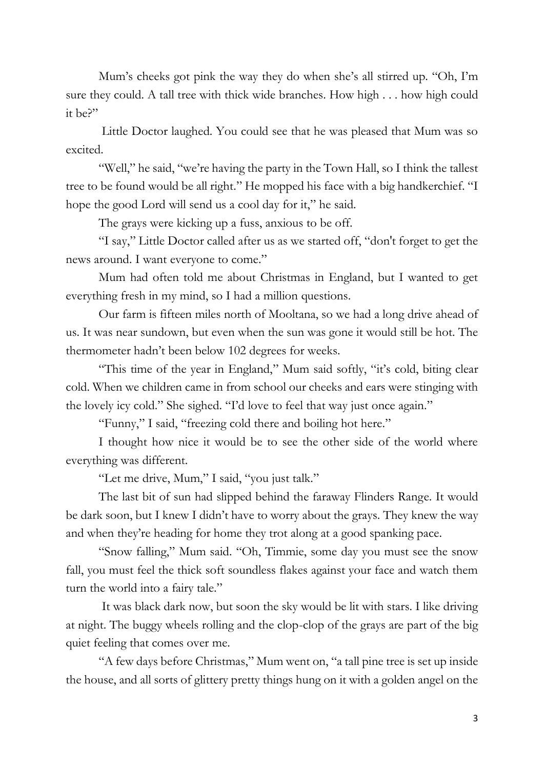Mum's cheeks got pink the way they do when she's all stirred up. "Oh, I'm sure they could. A tall tree with thick wide branches. How high . . . how high could it be?"

Little Doctor laughed. You could see that he was pleased that Mum was so excited.

"Well," he said, "we're having the party in the Town Hall, so I think the tallest tree to be found would be all right." He mopped his face with a big handkerchief. "I hope the good Lord will send us a cool day for it," he said.

The grays were kicking up a fuss, anxious to be off.

"I say," Little Doctor called after us as we started off, "don't forget to get the news around. I want everyone to come."

Mum had often told me about Christmas in England, but I wanted to get everything fresh in my mind, so I had a million questions.

Our farm is fifteen miles north of Mooltana, so we had a long drive ahead of us. It was near sundown, but even when the sun was gone it would still be hot. The thermometer hadn't been below 102 degrees for weeks.

"This time of the year in England," Mum said softly, "it's cold, biting clear cold. When we children came in from school our cheeks and ears were stinging with the lovely icy cold." She sighed. "I'd love to feel that way just once again."

"Funny," I said, "freezing cold there and boiling hot here."

I thought how nice it would be to see the other side of the world where everything was different.

"Let me drive, Mum," I said, "you just talk."

The last bit of sun had slipped behind the faraway Flinders Range. It would be dark soon, but I knew I didn't have to worry about the grays. They knew the way and when they're heading for home they trot along at a good spanking pace.

"Snow falling," Mum said. "Oh, Timmie, some day you must see the snow fall, you must feel the thick soft soundless flakes against your face and watch them turn the world into a fairy tale."

It was black dark now, but soon the sky would be lit with stars. I like driving at night. The buggy wheels rolling and the clop-clop of the grays are part of the big quiet feeling that comes over me.

"A few days before Christmas," Mum went on, "a tall pine tree is set up inside the house, and all sorts of glittery pretty things hung on it with a golden angel on the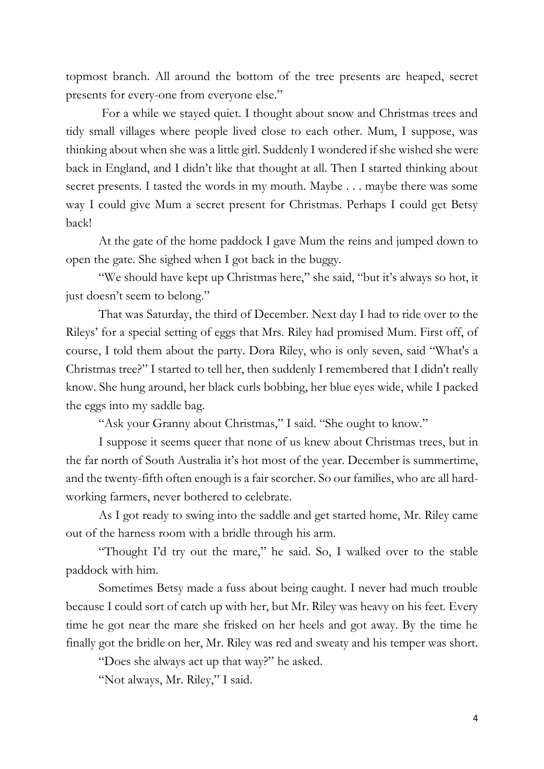topmost branch. All around the bottom of the tree presents are heaped, secret presents for every-one from everyone else."

For a while we stayed quiet. I thought about snow and Christmas trees and tidy small villages where people lived close to each other. Mum, I suppose, was thinking about when she was a little girl. Suddenly I wondered if she wished she were back in England, and I didn't like that thought at all. Then I started thinking about secret presents. I tasted the words in my mouth. Maybe . . . maybe there was some way I could give Mum a secret present for Christmas. Perhaps I could get Betsy back!

At the gate of the home paddock I gave Mum the reins and jumped down to open the gate. She sighed when I got back in the buggy.

"We should have kept up Christmas here," she said, "but it's always so hot, it just doesn't seem to belong."

That was Saturday, the third of December. Next day I had to ride over to the Rileys' for a special setting of eggs that Mrs. Riley had promised Mum. First off, of course, I told them about the party. Dora Riley, who is only seven, said "What's a Christmas tree?" I started to tell her, then suddenly I remembered that I didn't really know. She hung around, her black curls bobbing, her blue eyes wide, while I packed the eggs into my saddle bag.

"Ask your Granny about Christmas," I said. "She ought to know."

I suppose it seems queer that none of us knew about Christmas trees, but in the far north of South Australia it's hot most of the year. December is summertime, and the twenty-fifth often enough is a fair scorcher. So our families, who are all hardworking farmers, never bothered to celebrate.

As I got ready to swing into the saddle and get started home, Mr. Riley came out of the harness room with a bridle through his arm.

"Thought I'd try out the mare," he said. So, I walked over to the stable paddock with him.

Sometimes Betsy made a fuss about being caught. I never had much trouble because I could sort of catch up with her, but Mr. Riley was heavy on his feet. Every time he got near the mare she frisked on her heels and got away. By the time he finally got the bridle on her, Mr. Riley was red and sweaty and his temper was short.

"Does she always act up that way?" he asked.

"Not always, Mr. Riley," I said.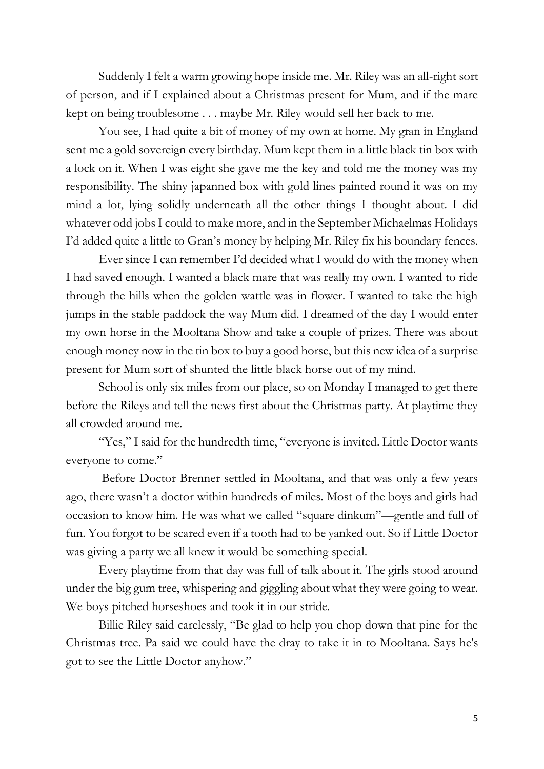Suddenly I felt a warm growing hope inside me. Mr. Riley was an all-right sort of person, and if I explained about a Christmas present for Mum, and if the mare kept on being troublesome . . . maybe Mr. Riley would sell her back to me.

You see, I had quite a bit of money of my own at home. My gran in England sent me a gold sovereign every birthday. Mum kept them in a little black tin box with a lock on it. When I was eight she gave me the key and told me the money was my responsibility. The shiny japanned box with gold lines painted round it was on my mind a lot, lying solidly underneath all the other things I thought about. I did whatever odd jobs I could to make more, and in the September Michaelmas Holidays I'd added quite a little to Gran's money by helping Mr. Riley fix his boundary fences.

Ever since I can remember I'd decided what I would do with the money when I had saved enough. I wanted a black mare that was really my own. I wanted to ride through the hills when the golden wattle was in flower. I wanted to take the high jumps in the stable paddock the way Mum did. I dreamed of the day I would enter my own horse in the Mooltana Show and take a couple of prizes. There was about enough money now in the tin box to buy a good horse, but this new idea of a surprise present for Mum sort of shunted the little black horse out of my mind.

School is only six miles from our place, so on Monday I managed to get there before the Rileys and tell the news first about the Christmas party. At playtime they all crowded around me.

"Yes," I said for the hundredth time, "everyone is invited. Little Doctor wants everyone to come."

Before Doctor Brenner settled in Mooltana, and that was only a few years ago, there wasn't a doctor within hundreds of miles. Most of the boys and girls had occasion to know him. He was what we called "square dinkum"—gentle and full of fun. You forgot to be scared even if a tooth had to be yanked out. So if Little Doctor was giving a party we all knew it would be something special.

Every playtime from that day was full of talk about it. The girls stood around under the big gum tree, whispering and giggling about what they were going to wear. We boys pitched horseshoes and took it in our stride.

Billie Riley said carelessly, "Be glad to help you chop down that pine for the Christmas tree. Pa said we could have the dray to take it in to Mooltana. Says he's got to see the Little Doctor anyhow."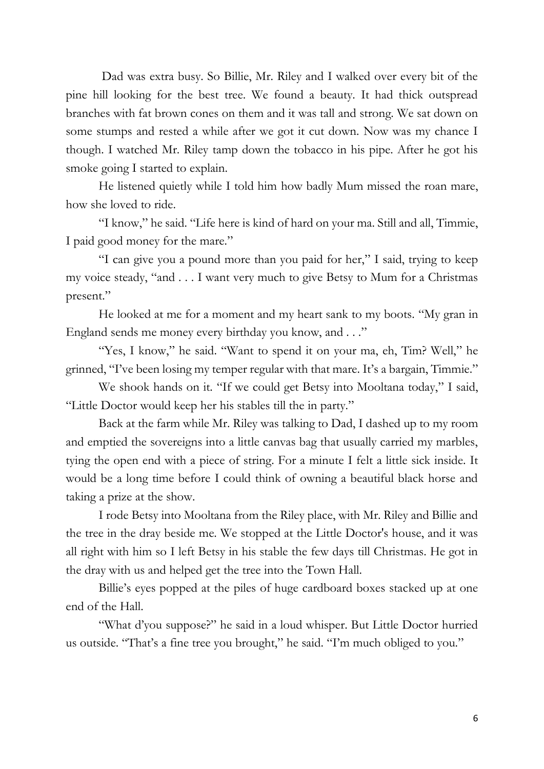Dad was extra busy. So Billie, Mr. Riley and I walked over every bit of the pine hill looking for the best tree. We found a beauty. It had thick outspread branches with fat brown cones on them and it was tall and strong. We sat down on some stumps and rested a while after we got it cut down. Now was my chance I though. I watched Mr. Riley tamp down the tobacco in his pipe. After he got his smoke going I started to explain.

He listened quietly while I told him how badly Mum missed the roan mare, how she loved to ride.

"I know," he said. "Life here is kind of hard on your ma. Still and all, Timmie, I paid good money for the mare."

"I can give you a pound more than you paid for her," I said, trying to keep my voice steady, "and . . . I want very much to give Betsy to Mum for a Christmas present."

He looked at me for a moment and my heart sank to my boots. "My gran in England sends me money every birthday you know, and . . ."

"Yes, I know," he said. "Want to spend it on your ma, eh, Tim? Well," he grinned, "I've been losing my temper regular with that mare. It's a bargain, Timmie."

We shook hands on it. "If we could get Betsy into Mooltana today," I said, "Little Doctor would keep her his stables till the in party."

Back at the farm while Mr. Riley was talking to Dad, I dashed up to my room and emptied the sovereigns into a little canvas bag that usually carried my marbles, tying the open end with a piece of string. For a minute I felt a little sick inside. It would be a long time before I could think of owning a beautiful black horse and taking a prize at the show.

I rode Betsy into Mooltana from the Riley place, with Mr. Riley and Billie and the tree in the dray beside me. We stopped at the Little Doctor's house, and it was all right with him so I left Betsy in his stable the few days till Christmas. He got in the dray with us and helped get the tree into the Town Hall.

Billie's eyes popped at the piles of huge cardboard boxes stacked up at one end of the Hall.

"What d'you suppose?" he said in a loud whisper. But Little Doctor hurried us outside. "That's a fine tree you brought," he said. "I'm much obliged to you."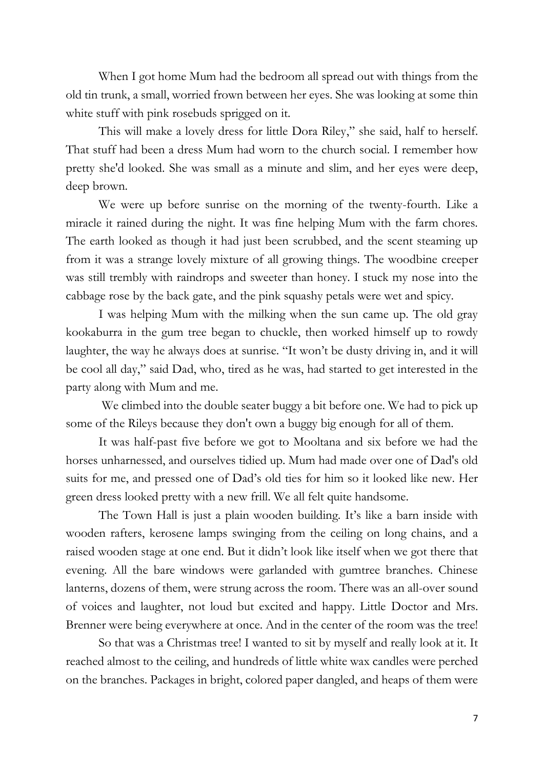When I got home Mum had the bedroom all spread out with things from the old tin trunk, a small, worried frown between her eyes. She was looking at some thin white stuff with pink rosebuds sprigged on it.

This will make a lovely dress for little Dora Riley," she said, half to herself. That stuff had been a dress Mum had worn to the church social. I remember how pretty she'd looked. She was small as a minute and slim, and her eyes were deep, deep brown.

We were up before sunrise on the morning of the twenty-fourth. Like a miracle it rained during the night. It was fine helping Mum with the farm chores. The earth looked as though it had just been scrubbed, and the scent steaming up from it was a strange lovely mixture of all growing things. The woodbine creeper was still trembly with raindrops and sweeter than honey. I stuck my nose into the cabbage rose by the back gate, and the pink squashy petals were wet and spicy.

I was helping Mum with the milking when the sun came up. The old gray kookaburra in the gum tree began to chuckle, then worked himself up to rowdy laughter, the way he always does at sunrise. "It won't be dusty driving in, and it will be cool all day," said Dad, who, tired as he was, had started to get interested in the party along with Mum and me.

We climbed into the double seater buggy a bit before one. We had to pick up some of the Rileys because they don't own a buggy big enough for all of them.

It was half-past five before we got to Mooltana and six before we had the horses unharnessed, and ourselves tidied up. Mum had made over one of Dad's old suits for me, and pressed one of Dad's old ties for him so it looked like new. Her green dress looked pretty with a new frill. We all felt quite handsome.

The Town Hall is just a plain wooden building. It's like a barn inside with wooden rafters, kerosene lamps swinging from the ceiling on long chains, and a raised wooden stage at one end. But it didn't look like itself when we got there that evening. All the bare windows were garlanded with gumtree branches. Chinese lanterns, dozens of them, were strung across the room. There was an all-over sound of voices and laughter, not loud but excited and happy. Little Doctor and Mrs. Brenner were being everywhere at once. And in the center of the room was the tree!

So that was a Christmas tree! I wanted to sit by myself and really look at it. It reached almost to the ceiling, and hundreds of little white wax candles were perched on the branches. Packages in bright, colored paper dangled, and heaps of them were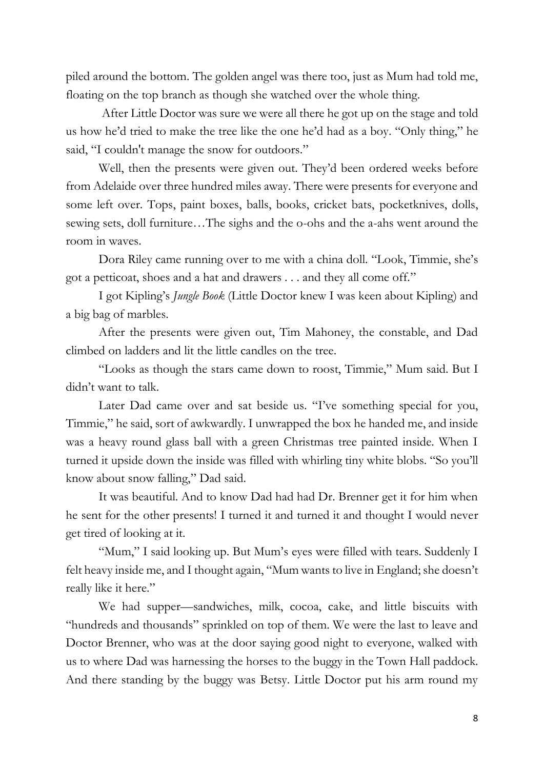piled around the bottom. The golden angel was there too, just as Mum had told me, floating on the top branch as though she watched over the whole thing.

After Little Doctor was sure we were all there he got up on the stage and told us how he'd tried to make the tree like the one he'd had as a boy. "Only thing," he said, "I couldn't manage the snow for outdoors."

Well, then the presents were given out. They'd been ordered weeks before from Adelaide over three hundred miles away. There were presents for everyone and some left over. Tops, paint boxes, balls, books, cricket bats, pocketknives, dolls, sewing sets, doll furniture…The sighs and the o-ohs and the a-ahs went around the room in waves.

Dora Riley came running over to me with a china doll. "Look, Timmie, she's got a petticoat, shoes and a hat and drawers . . . and they all come off."

I got Kipling's *Jungle Book* (Little Doctor knew I was keen about Kipling) and a big bag of marbles.

After the presents were given out, Tim Mahoney, the constable, and Dad climbed on ladders and lit the little candles on the tree.

"Looks as though the stars came down to roost, Timmie," Mum said. But I didn't want to talk.

Later Dad came over and sat beside us. "I've something special for you, Timmie," he said, sort of awkwardly. I unwrapped the box he handed me, and inside was a heavy round glass ball with a green Christmas tree painted inside. When I turned it upside down the inside was filled with whirling tiny white blobs. "So you'll know about snow falling," Dad said.

It was beautiful. And to know Dad had had Dr. Brenner get it for him when he sent for the other presents! I turned it and turned it and thought I would never get tired of looking at it.

"Mum," I said looking up. But Mum's eyes were filled with tears. Suddenly I felt heavy inside me, and I thought again, "Mum wants to live in England; she doesn't really like it here."

We had supper—sandwiches, milk, cocoa, cake, and little biscuits with "hundreds and thousands" sprinkled on top of them. We were the last to leave and Doctor Brenner, who was at the door saying good night to everyone, walked with us to where Dad was harnessing the horses to the buggy in the Town Hall paddock. And there standing by the buggy was Betsy. Little Doctor put his arm round my